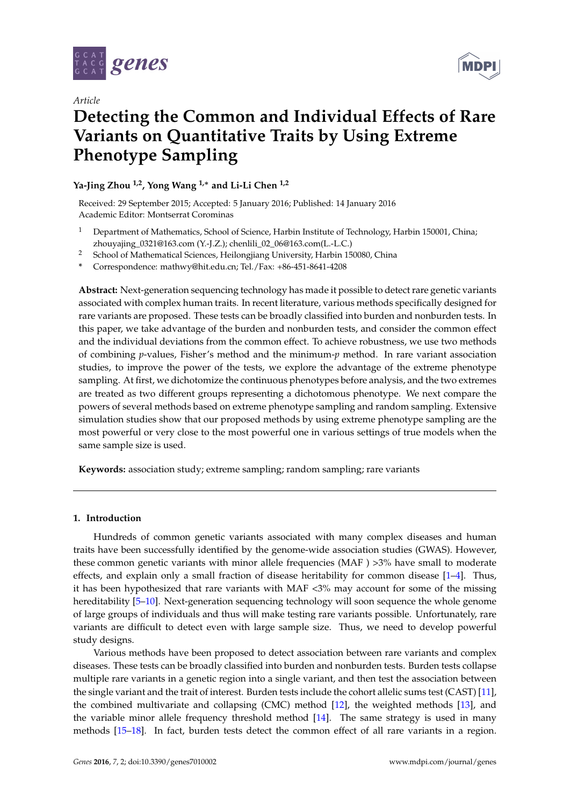

*Article*



# **Detecting the Common and Individual Effects of Rare Variants on Quantitative Traits by Using Extreme Phenotype Sampling**

# **Ya-Jing Zhou 1,2, Yong Wang 1,**<sup>∗</sup> **and Li-Li Chen 1,2**

Received: 29 September 2015; Accepted: 5 January 2016; Published: 14 January 2016 Academic Editor: Montserrat Corominas

- <sup>1</sup> Department of Mathematics, School of Science, Harbin Institute of Technology, Harbin 150001, China; zhouyajing\_0321@163.com (Y.-J.Z.); chenlili\_02\_06@163.com(L.-L.C.)
- <sup>2</sup> School of Mathematical Sciences, Heilongjiang University, Harbin 150080, China
- **\*** Correspondence: mathwy@hit.edu.cn; Tel./Fax: +86-451-8641-4208

**Abstract:** Next-generation sequencing technology has made it possible to detect rare genetic variants associated with complex human traits. In recent literature, various methods specifically designed for rare variants are proposed. These tests can be broadly classified into burden and nonburden tests. In this paper, we take advantage of the burden and nonburden tests, and consider the common effect and the individual deviations from the common effect. To achieve robustness, we use two methods of combining *p*-values, Fisher's method and the minimum-*p* method. In rare variant association studies, to improve the power of the tests, we explore the advantage of the extreme phenotype sampling. At first, we dichotomize the continuous phenotypes before analysis, and the two extremes are treated as two different groups representing a dichotomous phenotype. We next compare the powers of several methods based on extreme phenotype sampling and random sampling. Extensive simulation studies show that our proposed methods by using extreme phenotype sampling are the most powerful or very close to the most powerful one in various settings of true models when the same sample size is used.

**Keywords:** association study; extreme sampling; random sampling; rare variants

# **1. Introduction**

Hundreds of common genetic variants associated with many complex diseases and human traits have been successfully identified by the genome-wide association studies (GWAS). However, these common genetic variants with minor allele frequencies (MAF ) >3% have small to moderate effects, and explain only a small fraction of disease heritability for common disease  $[1-4]$  $[1-4]$ . Thus, it has been hypothesized that rare variants with MAF <3% may account for some of the missing hereditability [\[5–](#page-10-2)[10\]](#page-10-3). Next-generation sequencing technology will soon sequence the whole genome of large groups of individuals and thus will make testing rare variants possible. Unfortunately, rare variants are difficult to detect even with large sample size. Thus, we need to develop powerful study designs.

Various methods have been proposed to detect association between rare variants and complex diseases. These tests can be broadly classified into burden and nonburden tests. Burden tests collapse multiple rare variants in a genetic region into a single variant, and then test the association between the single variant and the trait of interest. Burden tests include the cohort allelic sums test (CAST) [\[11\]](#page-10-4), the combined multivariate and collapsing (CMC) method [\[12\]](#page-10-5), the weighted methods [\[13\]](#page-10-6), and the variable minor allele frequency threshold method [\[14\]](#page-10-7). The same strategy is used in many methods [\[15](#page-10-8)[–18\]](#page-10-9). In fact, burden tests detect the common effect of all rare variants in a region.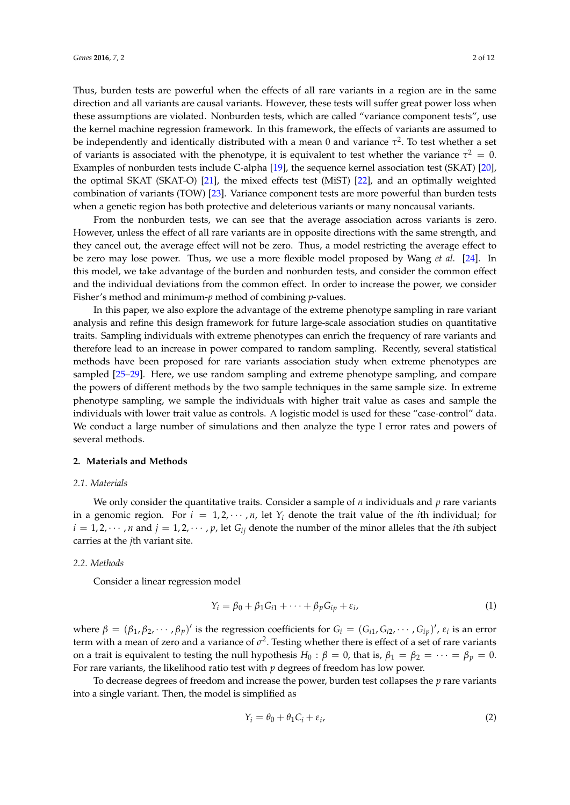Thus, burden tests are powerful when the effects of all rare variants in a region are in the same direction and all variants are causal variants. However, these tests will suffer great power loss when these assumptions are violated. Nonburden tests, which are called "variance component tests", use the kernel machine regression framework. In this framework, the effects of variants are assumed to be independently and identically distributed with a mean 0 and variance *τ* 2 . To test whether a set of variants is associated with the phenotype, it is equivalent to test whether the variance  $\tau^2 = 0$ . Examples of nonburden tests include C-alpha [\[19\]](#page-10-10), the sequence kernel association test (SKAT) [\[20\]](#page-10-11), the optimal SKAT (SKAT-O) [\[21\]](#page-11-0), the mixed effects test (MiST) [\[22\]](#page-11-1), and an optimally weighted combination of variants (TOW) [\[23\]](#page-11-2). Variance component tests are more powerful than burden tests when a genetic region has both protective and deleterious variants or many noncausal variants.

From the nonburden tests, we can see that the average association across variants is zero. However, unless the effect of all rare variants are in opposite directions with the same strength, and they cancel out, the average effect will not be zero. Thus, a model restricting the average effect to be zero may lose power. Thus, we use a more flexible model proposed by Wang *et al*. [\[24\]](#page-11-3). In this model, we take advantage of the burden and nonburden tests, and consider the common effect and the individual deviations from the common effect. In order to increase the power, we consider Fisher's method and minimum-*p* method of combining *p*-values.

In this paper, we also explore the advantage of the extreme phenotype sampling in rare variant analysis and refine this design framework for future large-scale association studies on quantitative traits. Sampling individuals with extreme phenotypes can enrich the frequency of rare variants and therefore lead to an increase in power compared to random sampling. Recently, several statistical methods have been proposed for rare variants association study when extreme phenotypes are sampled [\[25–](#page-11-4)[29\]](#page-11-5). Here, we use random sampling and extreme phenotype sampling, and compare the powers of different methods by the two sample techniques in the same sample size. In extreme phenotype sampling, we sample the individuals with higher trait value as cases and sample the individuals with lower trait value as controls. A logistic model is used for these "case-control" data. We conduct a large number of simulations and then analyze the type I error rates and powers of several methods.

#### **2. Materials and Methods**

#### *2.1. Materials*

We only consider the quantitative traits. Consider a sample of *n* individuals and *p* rare variants in a genomic region. For  $i = 1, 2, \cdots, n$ , let  $Y_i$  denote the trait value of the *i*th individual; for  $i = 1, 2, \cdots, n$  and  $j = 1, 2, \cdots, p$ , let  $G_{ij}$  denote the number of the minor alleles that the *i*th subject carries at the *j*th variant site.

#### *2.2. Methods*

Consider a linear regression model

$$
Y_i = \beta_0 + \beta_1 G_{i1} + \dots + \beta_p G_{ip} + \varepsilon_i,
$$
\n(1)

where  $\beta = (\beta_1, \beta_2, \cdots, \beta_p)'$  is the regression coefficients for  $G_i = (G_{i1}, G_{i2}, \cdots, G_{ip})'$ ,  $\varepsilon_i$  is an error term with a mean of zero and a variance of  $\sigma^2$ . Testing whether there is effect of a set of rare variants on a trait is equivalent to testing the null hypothesis  $H_0: \beta = 0$ , that is,  $\beta_1 = \beta_2 = \cdots = \beta_p = 0$ . For rare variants, the likelihood ratio test with *p* degrees of freedom has low power.

To decrease degrees of freedom and increase the power, burden test collapses the *p* rare variants into a single variant. Then, the model is simplified as

$$
Y_i = \theta_0 + \theta_1 C_i + \varepsilon_i,\tag{2}
$$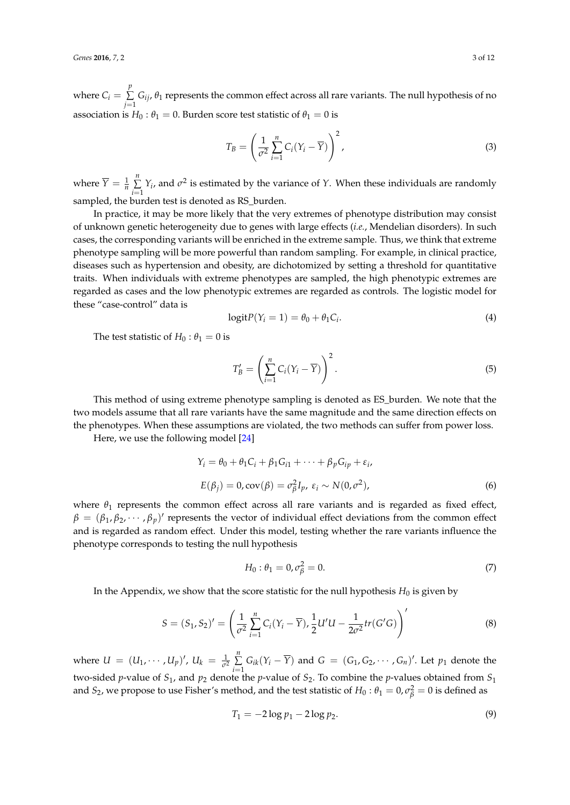where  $C_i = \sum_{i=1}^{p}$ ∑  $\sum\limits_{j=1} G_{ij}$ ,  $\theta_1$  represents the common effect across all rare variants. The null hypothesis of no association is  $H_0: \theta_1 = 0$ . Burden score test statistic of  $\theta_1 = 0$  is

$$
T_B = \left(\frac{1}{\sigma^2} \sum_{i=1}^n C_i (Y_i - \overline{Y})\right)^2,
$$
\n(3)

where  $\overline{Y} = \frac{1}{n}$ *n* ∑  $\sum_{i=1}^{n} Y_i$ , and  $\sigma^2$  is estimated by the variance of *Y*. When these individuals are randomly sampled, the burden test is denoted as RS\_burden.

In practice, it may be more likely that the very extremes of phenotype distribution may consist of unknown genetic heterogeneity due to genes with large effects (*i.e.*, Mendelian disorders). In such cases, the corresponding variants will be enriched in the extreme sample. Thus, we think that extreme phenotype sampling will be more powerful than random sampling. For example, in clinical practice, diseases such as hypertension and obesity, are dichotomized by setting a threshold for quantitative traits. When individuals with extreme phenotypes are sampled, the high phenotypic extremes are regarded as cases and the low phenotypic extremes are regarded as controls. The logistic model for these "case-control" data is

$$
logitP(Yi = 1) = \theta_0 + \theta_1 C_i.
$$
\n(4)

The test statistic of  $H_0: \theta_1 = 0$  is

$$
T'_B = \left(\sum_{i=1}^n C_i (Y_i - \overline{Y})\right)^2.
$$
\n(5)

This method of using extreme phenotype sampling is denoted as ES\_burden. We note that the two models assume that all rare variants have the same magnitude and the same direction effects on the phenotypes. When these assumptions are violated, the two methods can suffer from power loss.

Here, we use the following model [\[24\]](#page-11-3)

$$
\begin{aligned} Y_i &= \theta_0 + \theta_1 C_i + \beta_1 G_{i1} + \dots + \beta_p G_{ip} + \varepsilon_i, \\ E(\beta_j) &= 0, \text{cov}(\beta) = \sigma_\beta^2 I_p, \ \varepsilon_i \sim N(0, \sigma^2), \end{aligned} \tag{6}
$$

where  $\theta_1$  represents the common effect across all rare variants and is regarded as fixed effect,  $\beta = (\beta_1, \beta_2, \cdots, \beta_p)'$  represents the vector of individual effect deviations from the common effect and is regarded as random effect. Under this model, testing whether the rare variants influence the phenotype corresponds to testing the null hypothesis

$$
H_0: \theta_1 = 0, \sigma_{\beta}^2 = 0. \tag{7}
$$

In the Appendix, we show that the score statistic for the null hypothesis  $H_0$  is given by

$$
S = (S_1, S_2)' = \left(\frac{1}{\sigma^2} \sum_{i=1}^n C_i (Y_i - \overline{Y}), \frac{1}{2} U' U - \frac{1}{2\sigma^2} tr(G'G)\right)'
$$
(8)

where  $U = (U_1, \dots, U_p)'$ ,  $U_k = \frac{1}{\sigma^2}$ *n* ∑  $\sum_{i=1}^{n} G_{ik}(Y_i - \overline{Y})$  and  $G = (G_1, G_2, \cdots, G_n)'$ . Let  $p_1$  denote the two-sided *p*-value of *S*1, and *p*<sup>2</sup> denote the *p*-value of *S*2. To combine the *p*-values obtained from *S*<sup>1</sup> and  $S_2$ , we propose to use Fisher's method, and the test statistic of  $H_0: \theta_1=0$ ,  $\sigma_{\beta}^2=0$  is defined as

$$
T_1 = -2\log p_1 - 2\log p_2. \tag{9}
$$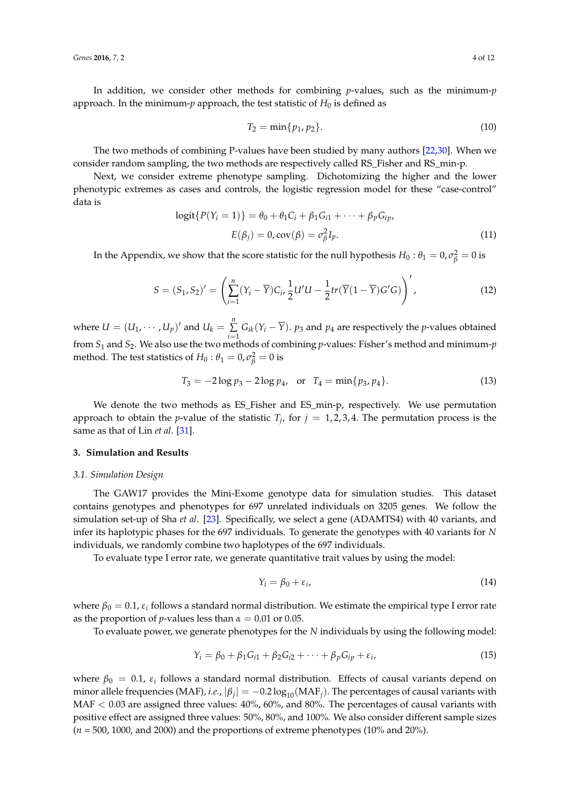In addition, we consider other methods for combining *p*-values, such as the minimum-*p* approach. In the minimum-*p* approach, the test statistic of  $H_0$  is defined as

$$
T_2 = \min\{p_1, p_2\}.
$$
 (10)

The two methods of combining P-values have been studied by many authors [\[22,](#page-11-1)[30\]](#page-11-6). When we consider random sampling, the two methods are respectively called RS\_Fisher and RS\_min-p.

Next, we consider extreme phenotype sampling. Dichotomizing the higher and the lower phenotypic extremes as cases and controls, the logistic regression model for these "case-control" data is

$$
logit\{P(Y_i = 1)\} = \theta_0 + \theta_1 C_i + \beta_1 G_{i1} + \dots + \beta_p G_{ip},
$$
  
\n
$$
E(\beta_j) = 0, cov(\beta) = \sigma_\beta^2 I_p.
$$
\n(11)

In the Appendix, we show that the score statistic for the null hypothesis  $H_0: \theta_1 = 0, \sigma_\beta^2 = 0$  is

$$
S = (S_1, S_2)' = \left(\sum_{i=1}^n (Y_i - \overline{Y})C_i, \frac{1}{2}U'U - \frac{1}{2}tr(\overline{Y}(1 - \overline{Y})G'G)\right)',
$$
 (12)

where  $U = (U_1, \dots, U_p)'$  and  $U_k = \sum_{k=1}^{n}$  $\sum_{i=1}$  *G*<sub>*ik*</sub>(*Y*<sub>*i*</sub> − *Y*). *p*<sub>3</sub> and *p*<sub>4</sub> are respectively the *p*-values obtained from *S*<sup>1</sup> and *S*2. We also use the two methods of combining *p*-values: Fisher's method and minimum-*p* method. The test statistics of  $H_0: \theta_1 = 0, \sigma_{\beta}^2 = 0$  is

$$
T_3 = -2\log p_3 - 2\log p_4, \text{ or } T_4 = \min\{p_3, p_4\}. \tag{13}
$$

We denote the two methods as ES\_Fisher and ES\_min-p, respectively. We use permutation approach to obtain the *p*-value of the statistic  $T_j$ , for  $j = 1, 2, 3, 4$ . The permutation process is the same as that of Lin *et al*. [\[31\]](#page-11-7).

#### **3. Simulation and Results**

#### *3.1. Simulation Design*

The GAW17 provides the Mini-Exome genotype data for simulation studies. This dataset contains genotypes and phenotypes for 697 unrelated individuals on 3205 genes. We follow the simulation set-up of Sha *et al*. [\[23\]](#page-11-2). Specifically, we select a gene (ADAMTS4) with 40 variants, and infer its haplotypic phases for the 697 individuals. To generate the genotypes with 40 variants for *N* individuals, we randomly combine two haplotypes of the 697 individuals.

To evaluate type I error rate, we generate quantitative trait values by using the model:

$$
Y_i = \beta_0 + \varepsilon_i, \tag{14}
$$

where  $\beta_0 = 0.1$ ,  $\varepsilon_i$  follows a standard normal distribution. We estimate the empirical type I error rate as the proportion of *p*-values less than  $\alpha = 0.01$  or 0.05.

To evaluate power, we generate phenotypes for the *N* individuals by using the following model:

$$
Y_i = \beta_0 + \beta_1 G_{i1} + \beta_2 G_{i2} + \dots + \beta_p G_{ip} + \varepsilon_i,
$$
\n(15)

where  $\beta_0 = 0.1$ ,  $\varepsilon_i$  follows a standard normal distribution. Effects of causal variants depend on minor allele frequencies (MAF)*, i.e.,*  $|\beta_j| = -0.2 \log_{10} (MAF_j)$ . The percentages of causal variants with  $MAF < 0.03$  are assigned three values:  $40\%$ ,  $60\%$ , and  $80\%$ . The percentages of causal variants with positive effect are assigned three values: 50%, 80%, and 100%. We also consider different sample sizes  $(n = 500, 1000,$  and 2000) and the proportions of extreme phenotypes  $(10\% \text{ and } 20\%).$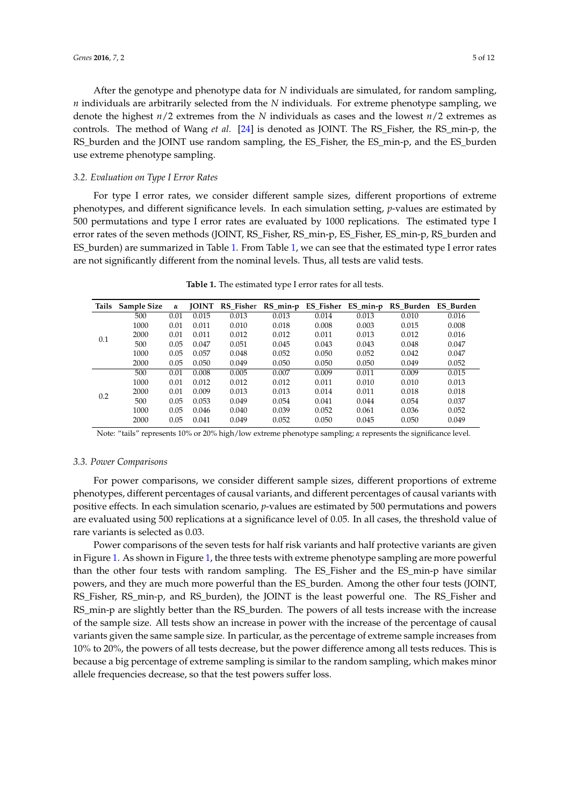After the genotype and phenotype data for *N* individuals are simulated, for random sampling, *n* individuals are arbitrarily selected from the *N* individuals. For extreme phenotype sampling, we denote the highest *n*/2 extremes from the *N* individuals as cases and the lowest *n*/2 extremes as controls. The method of Wang *et al.* [\[24\]](#page-11-3) is denoted as JOINT. The RS\_Fisher, the RS\_min-p, the RS\_burden and the JOINT use random sampling, the ES\_Fisher, the ES\_min-p, and the ES\_burden use extreme phenotype sampling.

## *3.2. Evaluation on Type I Error Rates*

For type I error rates, we consider different sample sizes, different proportions of extreme phenotypes, and different significance levels. In each simulation setting, *p*-values are estimated by 500 permutations and type I error rates are evaluated by 1000 replications. The estimated type I error rates of the seven methods (JOINT, RS\_Fisher, RS\_min-p, ES\_Fisher, ES\_min-p, RS\_burden and ES\_burden) are summarized in Table [1.](#page-4-0) From Table [1,](#page-4-0) we can see that the estimated type I error rates are not significantly different from the nominal levels. Thus, all tests are valid tests.

<span id="page-4-0"></span>

| Tails | Sample Size | α    | <b>JOINT</b> | RS Fisher | $RS_{min-p}$ | <b>ES_Fisher</b> | $ES_{min-p}$ | RS_Burden | ES Burden |
|-------|-------------|------|--------------|-----------|--------------|------------------|--------------|-----------|-----------|
| 0.1   | 500         | 0.01 | 0.015        | 0.013     | 0.013        | 0.014            | 0.013        | 0.010     | 0.016     |
|       | 1000        | 0.01 | 0.011        | 0.010     | 0.018        | 0.008            | 0.003        | 0.015     | 0.008     |
|       | 2000        | 0.01 | 0.011        | 0.012     | 0.012        | 0.011            | 0.013        | 0.012     | 0.016     |
|       | 500         | 0.05 | 0.047        | 0.051     | 0.045        | 0.043            | 0.043        | 0.048     | 0.047     |
|       | 1000        | 0.05 | 0.057        | 0.048     | 0.052        | 0.050            | 0.052        | 0.042     | 0.047     |
|       | 2000        | 0.05 | 0.050        | 0.049     | 0.050        | 0.050            | 0.050        | 0.049     | 0.052     |
| 0.2   | 500         | 0.01 | 0.008        | 0.005     | 0.007        | 0.009            | 0.011        | 0.009     | 0.015     |
|       | 1000        | 0.01 | 0.012        | 0.012     | 0.012        | 0.011            | 0.010        | 0.010     | 0.013     |
|       | 2000        | 0.01 | 0.009        | 0.013     | 0.013        | 0.014            | 0.011        | 0.018     | 0.018     |
|       | 500         | 0.05 | 0.053        | 0.049     | 0.054        | 0.041            | 0.044        | 0.054     | 0.037     |
|       | 1000        | 0.05 | 0.046        | 0.040     | 0.039        | 0.052            | 0.061        | 0.036     | 0.052     |
|       | 2000        | 0.05 | 0.041        | 0.049     | 0.052        | 0.050            | 0.045        | 0.050     | 0.049     |

**Table 1.** The estimated type I error rates for all tests.

Note: "tails" represents 10% or 20% high/low extreme phenotype sampling; *α* represents the significance level.

# *3.3. Power Comparisons*

For power comparisons, we consider different sample sizes, different proportions of extreme phenotypes, different percentages of causal variants, and different percentages of causal variants with positive effects. In each simulation scenario, *p*-values are estimated by 500 permutations and powers are evaluated using 500 replications at a significance level of 0.05. In all cases, the threshold value of rare variants is selected as 0.03.

Power comparisons of the seven tests for half risk variants and half protective variants are given in Figure [1.](#page-5-0) As shown in Figure [1,](#page-5-0) the three tests with extreme phenotype sampling are more powerful than the other four tests with random sampling. The ES\_Fisher and the ES\_min-p have similar powers, and they are much more powerful than the ES\_burden. Among the other four tests (JOINT, RS\_Fisher, RS\_min-p, and RS\_burden), the JOINT is the least powerful one. The RS\_Fisher and RS\_min-p are slightly better than the RS\_burden. The powers of all tests increase with the increase of the sample size. All tests show an increase in power with the increase of the percentage of causal variants given the same sample size. In particular, as the percentage of extreme sample increases from 10% to 20%, the powers of all tests decrease, but the power difference among all tests reduces. This is because a big percentage of extreme sampling is similar to the random sampling, which makes minor allele frequencies decrease, so that the test powers suffer loss.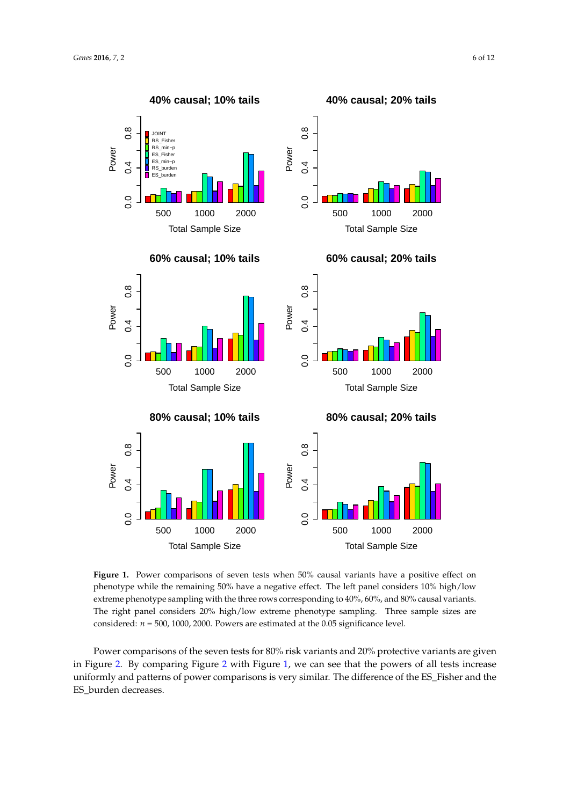<span id="page-5-0"></span>

Figure 1. Power comparisons of seven tests when 50% causal variants have a positive effect on phenotype while the remaining 50% have a negative effect. The left panel considers 10% high/low extreme phenotype sampling with the three rows corresponding to 40%, 60%, and 80% causal variants. The right panel considers 20% high/low extreme phenotype sampling. Three sample sizes are considered: *n* = 500, 1000, 2000. Powers are estimated at the 0.05 significance level.

Power comparisons of the seven tests for 80% risk variants and 20% protective variants are given in Figure [2.](#page-6-0) By comparing Figure [2](#page-6-0) with Figure [1,](#page-5-0) we can see that the powers of all tests increase uniformly and patterns of power comparisons is very similar. The difference of the ES\_Fisher and the ES\_burden decreases.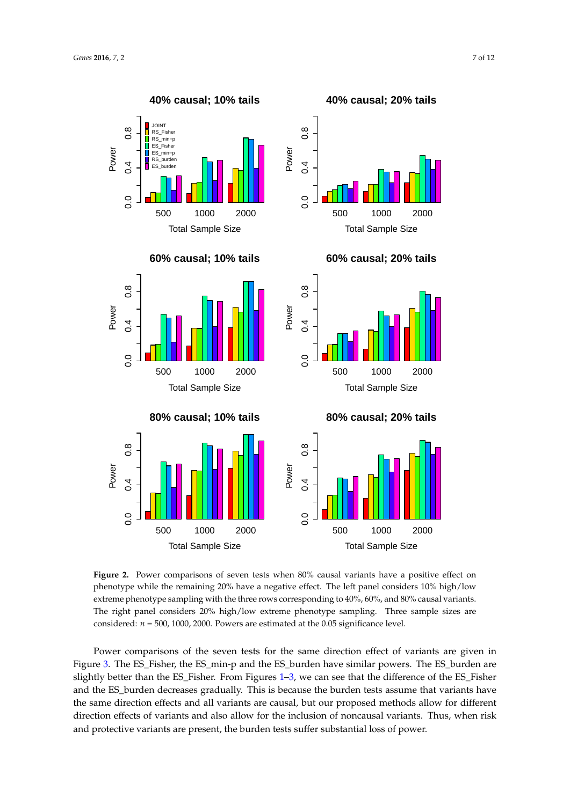<span id="page-6-0"></span>

Total Sample Size

**Figure 2.** Power comparisons of seven tests when 80% causal variants have a positive effect on phenotype while the remaining 20% have a negative effect. The left panel considers 10% high/low extreme phenotype sampling with the three rows corresponding to 40%, 60%, and 80% causal variants. The right panel considers 20% high/low extreme phenotype sampling. Three sample sizes are considered: *n* = 500, 1000, 2000. Powers are estimated at the 0.05 significance level.

Total Sample Size

Power comparisons of the seven tests for the same direction effect of variants are given in Figure [3.](#page-7-0) The ES\_Fisher, the ES\_min-p and the ES\_burden have similar powers. The ES\_burden are slightly better than the ES\_Fisher. From Figures [1](#page-5-0)[–3,](#page-7-0) we can see that the difference of the ES\_Fisher and the ES\_burden decreases gradually. This is because the burden tests assume that variants have the same direction effects and all variants are causal, but our proposed methods allow for different direction effects of variants and also allow for the inclusion of noncausal variants. Thus, when risk and protective variants are present, the burden tests suffer substantial loss of power.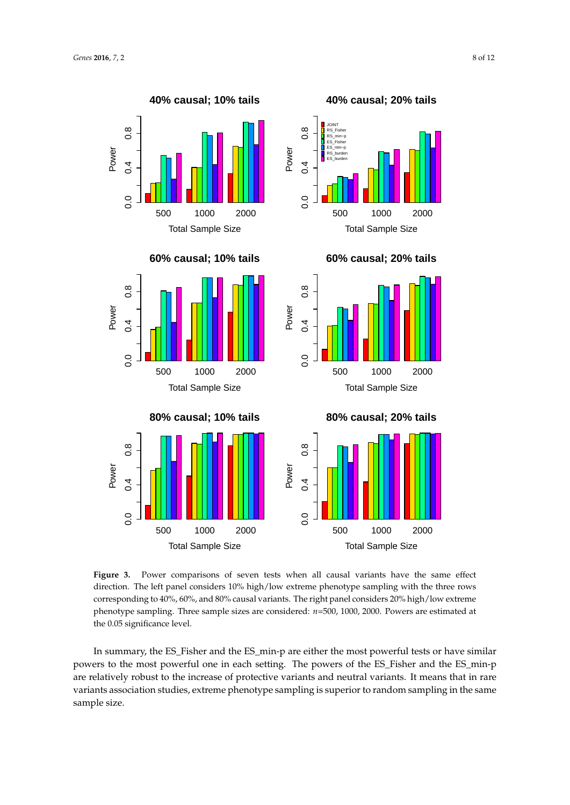Power

 $0.4$ 

0.G

<span id="page-7-0"></span>



**Figure 3.** Power comparisons of seven tests when all causal variants have the same effect direction. The left panel considers 10% high/low extreme phenotype sampling with the three rows corresponding to 40%, 60%, and 80% causal variants. The right panel considers 20% high/low extreme phenotype sampling. Three sample sizes are considered: *n*=500, 1000, 2000. Powers are estimated at the 0.05 significance level.

In summary, the ES\_Fisher and the ES\_min-p are either the most powerful tests or have similar powers to the most powerful one in each setting. The powers of the ES\_Fisher and the ES\_min-p are relatively robust to the increase of protective variants and neutral variants. It means that in rare variants association studies, extreme phenotype sampling is superior to random sampling in the same sample size.

**40% causal; 20% tails**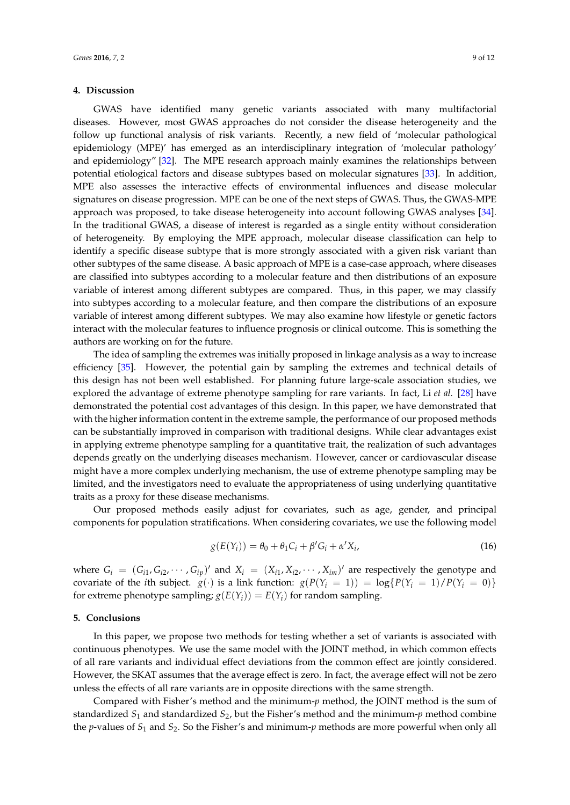## **4. Discussion**

GWAS have identified many genetic variants associated with many multifactorial diseases. However, most GWAS approaches do not consider the disease heterogeneity and the follow up functional analysis of risk variants. Recently, a new field of 'molecular pathological epidemiology (MPE)' has emerged as an interdisciplinary integration of 'molecular pathology' and epidemiology" [\[32\]](#page-11-8). The MPE research approach mainly examines the relationships between potential etiological factors and disease subtypes based on molecular signatures [\[33\]](#page-11-9). In addition, MPE also assesses the interactive effects of environmental influences and disease molecular signatures on disease progression. MPE can be one of the next steps of GWAS. Thus, the GWAS-MPE approach was proposed, to take disease heterogeneity into account following GWAS analyses [\[34\]](#page-11-10). In the traditional GWAS, a disease of interest is regarded as a single entity without consideration of heterogeneity. By employing the MPE approach, molecular disease classification can help to identify a specific disease subtype that is more strongly associated with a given risk variant than other subtypes of the same disease. A basic approach of MPE is a case-case approach, where diseases are classified into subtypes according to a molecular feature and then distributions of an exposure variable of interest among different subtypes are compared. Thus, in this paper, we may classify into subtypes according to a molecular feature, and then compare the distributions of an exposure variable of interest among different subtypes. We may also examine how lifestyle or genetic factors interact with the molecular features to influence prognosis or clinical outcome. This is something the authors are working on for the future.

The idea of sampling the extremes was initially proposed in linkage analysis as a way to increase efficiency [\[35\]](#page-11-11). However, the potential gain by sampling the extremes and technical details of this design has not been well established. For planning future large-scale association studies, we explored the advantage of extreme phenotype sampling for rare variants. In fact, Li *et al.* [\[28\]](#page-11-12) have demonstrated the potential cost advantages of this design. In this paper, we have demonstrated that with the higher information content in the extreme sample, the performance of our proposed methods can be substantially improved in comparison with traditional designs. While clear advantages exist in applying extreme phenotype sampling for a quantitative trait, the realization of such advantages depends greatly on the underlying diseases mechanism. However, cancer or cardiovascular disease might have a more complex underlying mechanism, the use of extreme phenotype sampling may be limited, and the investigators need to evaluate the appropriateness of using underlying quantitative traits as a proxy for these disease mechanisms.

Our proposed methods easily adjust for covariates, such as age, gender, and principal components for population stratifications. When considering covariates, we use the following model

$$
g(E(Y_i)) = \theta_0 + \theta_1 C_i + \beta' G_i + \alpha' X_i,
$$
\n(16)

where  $G_i = (G_{i1}, G_{i2}, \cdots, G_{ip})'$  and  $X_i = (X_{i1}, X_{i2}, \cdots, X_{im})'$  are respectively the genotype and covariate of the *i*th subject.  $g(\cdot)$  is a link function:  $g(P(Y_i = 1)) = \log\{P(Y_i = 1)/P(Y_i = 0)\}$ for extreme phenotype sampling;  $g(E(Y_i)) = E(Y_i)$  for random sampling.

## **5. Conclusions**

In this paper, we propose two methods for testing whether a set of variants is associated with continuous phenotypes. We use the same model with the JOINT method, in which common effects of all rare variants and individual effect deviations from the common effect are jointly considered. However, the SKAT assumes that the average effect is zero. In fact, the average effect will not be zero unless the effects of all rare variants are in opposite directions with the same strength.

Compared with Fisher's method and the minimum-*p* method, the JOINT method is the sum of standardized *S*<sup>1</sup> and standardized *S*2, but the Fisher's method and the minimum-*p* method combine the *p*-values of  $S_1$  and  $S_2$ . So the Fisher's and minimum-*p* methods are more powerful when only all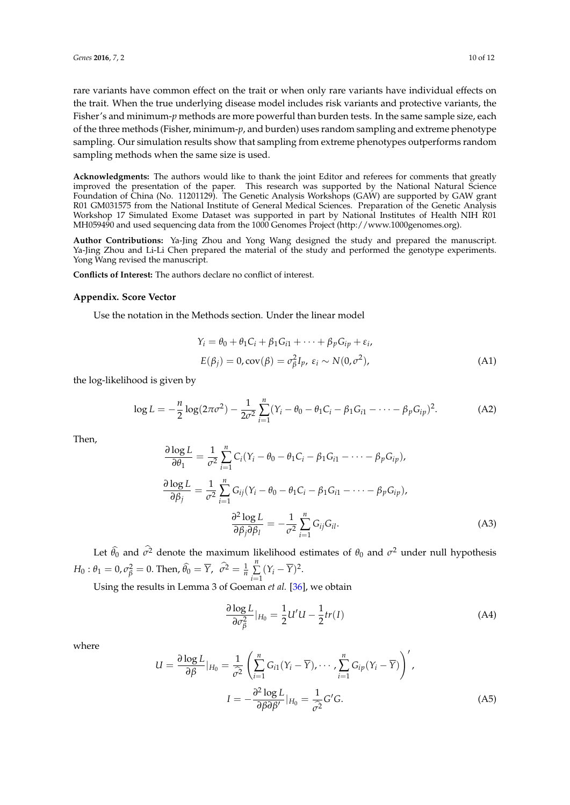rare variants have common effect on the trait or when only rare variants have individual effects on the trait. When the true underlying disease model includes risk variants and protective variants, the Fisher's and minimum-*p* methods are more powerful than burden tests. In the same sample size, each of the three methods (Fisher, minimum-*p*, and burden) uses random sampling and extreme phenotype sampling. Our simulation results show that sampling from extreme phenotypes outperforms random sampling methods when the same size is used.

**Acknowledgments:** The authors would like to thank the joint Editor and referees for comments that greatly improved the presentation of the paper. This research was supported by the National Natural Science Foundation of China (No. 11201129). The Genetic Analysis Workshops (GAW) are supported by GAW grant R01 GM031575 from the National Institute of General Medical Sciences. Preparation of the Genetic Analysis Workshop 17 Simulated Exome Dataset was supported in part by National Institutes of Health NIH R01 MH059490 and used sequencing data from the 1000 Genomes Project (http://www.1000genomes.org).

**Author Contributions:** Ya-Jing Zhou and Yong Wang designed the study and prepared the manuscript. Ya-Jing Zhou and Li-Li Chen prepared the material of the study and performed the genotype experiments. Yong Wang revised the manuscript.

**Conflicts of Interest:** The authors declare no conflict of interest.

#### **Appendix. Score Vector**

Use the notation in the Methods section. Under the linear model

$$
Y_i = \theta_0 + \theta_1 C_i + \beta_1 G_{i1} + \dots + \beta_p G_{ip} + \varepsilon_i,
$$
  
\n
$$
E(\beta_j) = 0, \text{cov}(\beta) = \sigma_\beta^2 I_p, \varepsilon_i \sim N(0, \sigma^2),
$$
\n(A1)

the log-likelihood is given by

$$
\log L = -\frac{n}{2}\log(2\pi\sigma^2) - \frac{1}{2\sigma^2}\sum_{i=1}^n (Y_i - \theta_0 - \theta_1C_i - \beta_1G_{i1} - \dots - \beta_pG_{ip})^2.
$$
 (A2)

Then,

$$
\frac{\partial \log L}{\partial \theta_1} = \frac{1}{\sigma^2} \sum_{i=1}^n C_i (Y_i - \theta_0 - \theta_1 C_i - \beta_1 G_{i1} - \dots - \beta_p G_{ip}),
$$
  

$$
\frac{\partial \log L}{\partial \beta_j} = \frac{1}{\sigma^2} \sum_{i=1}^n G_{ij} (Y_i - \theta_0 - \theta_1 C_i - \beta_1 G_{i1} - \dots - \beta_p G_{ip}),
$$
  

$$
\frac{\partial^2 \log L}{\partial \beta_j \partial \beta_l} = -\frac{1}{\sigma^2} \sum_{i=1}^n G_{ij} G_{il}.
$$
 (A3)

Let  $\hat{\theta}_0$  and  $\sigma^2$  denote the maximum likelihood estimates of  $\theta_0$  and  $\sigma^2$  under null hypothesis  $H_0: \theta_1 = 0, \sigma_{\beta}^2 = 0$ . Then,  $\widehat{\theta}_0 = \overline{Y}, \ \ \sigma^2 = \frac{1}{n}$ *n* ∑  $\sum_{i=1}^{\infty} (Y_i - \overline{Y})^2.$ 

Using the results in Lemma 3 of Goeman *et al.* [\[36\]](#page-11-13), we obtain

$$
\frac{\partial \log L}{\partial \sigma_{\beta}^2}|_{H_0} = \frac{1}{2}U'U - \frac{1}{2}tr(I)
$$
\n(A4)

where

$$
U = \frac{\partial \log L}{\partial \beta}|_{H_0} = \frac{1}{\hat{\sigma}^2} \left( \sum_{i=1}^n G_{i1}(Y_i - \overline{Y}), \cdots, \sum_{i=1}^n G_{ip}(Y_i - \overline{Y}) \right)',
$$

$$
I = -\frac{\partial^2 \log L}{\partial \beta \partial \beta'}|_{H_0} = \frac{1}{\hat{\sigma}^2} G'G.
$$
(A5)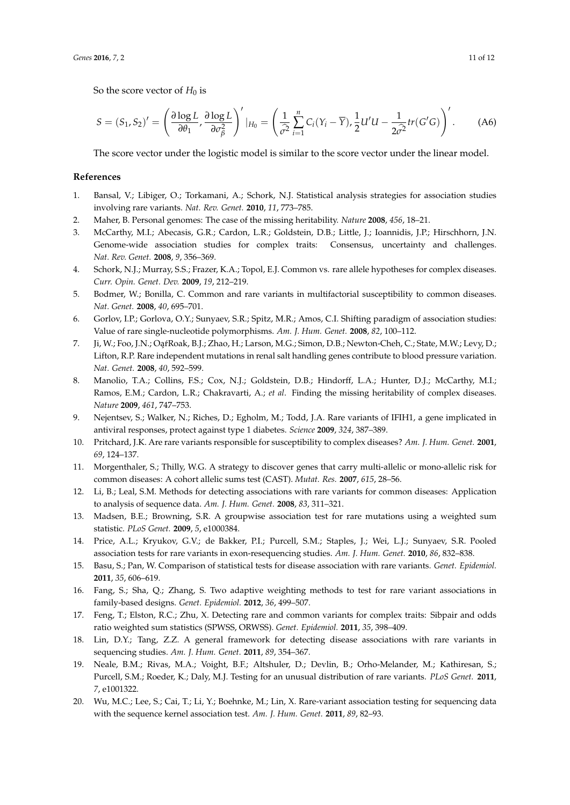So the score vector of  $H_0$  is

$$
S = (S_1, S_2)' = \left(\frac{\partial \log L}{\partial \theta_1}, \frac{\partial \log L}{\partial \sigma_{\beta}^2}\right)'|_{H_0} = \left(\frac{1}{\hat{\sigma}^2} \sum_{i=1}^n C_i (Y_i - \overline{Y}), \frac{1}{2} U' U - \frac{1}{2 \hat{\sigma}^2} tr(G'G)\right)'.
$$
 (A6)

The score vector under the logistic model is similar to the score vector under the linear model.

## **References**

- <span id="page-10-0"></span>1. Bansal, V.; Libiger, O.; Torkamani, A.; Schork, N.J. Statistical analysis strategies for association studies involving rare variants. *Nat. Rev. Genet.* **2010**, *11*, 773–785.
- 2. Maher, B. Personal genomes: The case of the missing heritability. *Nature* **2008**, *456*, 18–21.
- 3. McCarthy, M.I.; Abecasis, G.R.; Cardon, L.R.; Goldstein, D.B.; Little, J.; Ioannidis, J.P.; Hirschhorn, J.N. Genome-wide association studies for complex traits: Consensus, uncertainty and challenges. *Nat. Rev. Genet.* **2008**, *9*, 356–369.
- <span id="page-10-1"></span>4. Schork, N.J.; Murray, S.S.; Frazer, K.A.; Topol, E.J. Common vs. rare allele hypotheses for complex diseases. *Curr. Opin. Genet. Dev.* **2009**, *19*, 212–219.
- <span id="page-10-2"></span>5. Bodmer, W.; Bonilla, C. Common and rare variants in multifactorial susceptibility to common diseases. *Nat. Genet.* **2008**, *40*, 695–701.
- 6. Gorlov, I.P.; Gorlova, O.Y.; Sunyaev, S.R.; Spitz, M.R.; Amos, C.I. Shifting paradigm of association studies: Value of rare single-nucleotide polymorphisms. *Am. J. Hum. Genet.* **2008**, *82*, 100–112.
- 7. Ji, W.; Foo, J.N.; OaŕRoak, B.J.; Zhao, H.; Larson, M.G.; Simon, D.B.; Newton-Cheh, C.; State, M.W.; Levy, D.; Lifton, R.P. Rare independent mutations in renal salt handling genes contribute to blood pressure variation. *Nat. Genet.* **2008**, *40*, 592–599.
- 8. Manolio, T.A.; Collins, F.S.; Cox, N.J.; Goldstein, D.B.; Hindorff, L.A.; Hunter, D.J.; McCarthy, M.I.; Ramos, E.M.; Cardon, L.R.; Chakravarti, A.; *et al*. Finding the missing heritability of complex diseases. *Nature* **2009**, *461*, 747–753.
- 9. Nejentsev, S.; Walker, N.; Riches, D.; Egholm, M.; Todd, J.A. Rare variants of IFIH1, a gene implicated in antiviral responses, protect against type 1 diabetes. *Science* **2009**, *324*, 387–389.
- <span id="page-10-3"></span>10. Pritchard, J.K. Are rare variants responsible for susceptibility to complex diseases? *Am. J. Hum. Genet.* **2001**, *69*, 124–137.
- <span id="page-10-4"></span>11. Morgenthaler, S.; Thilly, W.G. A strategy to discover genes that carry multi-allelic or mono-allelic risk for common diseases: A cohort allelic sums test (CAST). *Mutat. Res.* **2007**, *615*, 28–56.
- <span id="page-10-5"></span>12. Li, B.; Leal, S.M. Methods for detecting associations with rare variants for common diseases: Application to analysis of sequence data. *Am. J. Hum. Genet.* **2008**, *83*, 311–321.
- <span id="page-10-6"></span>13. Madsen, B.E.; Browning, S.R. A groupwise association test for rare mutations using a weighted sum statistic. *PLoS Genet.* **2009**, *5*, e1000384.
- <span id="page-10-7"></span>14. Price, A.L.; Kryukov, G.V.; de Bakker, P.I.; Purcell, S.M.; Staples, J.; Wei, L.J.; Sunyaev, S.R. Pooled association tests for rare variants in exon-resequencing studies. *Am. J. Hum. Genet.* **2010**, *86*, 832–838.
- <span id="page-10-8"></span>15. Basu, S.; Pan, W. Comparison of statistical tests for disease association with rare variants. *Genet. Epidemiol.* **2011**, *35*, 606–619.
- 16. Fang, S.; Sha, Q.; Zhang, S. Two adaptive weighting methods to test for rare variant associations in family-based designs. *Genet. Epidemiol.* **2012**, *36*, 499–507.
- 17. Feng, T.; Elston, R.C.; Zhu, X. Detecting rare and common variants for complex traits: Sibpair and odds ratio weighted sum statistics (SPWSS, ORWSS). *Genet. Epidemiol.* **2011**, *35*, 398–409.
- <span id="page-10-9"></span>18. Lin, D.Y.; Tang, Z.Z. A general framework for detecting disease associations with rare variants in sequencing studies. *Am. J. Hum. Genet.* **2011**, *89*, 354–367.
- <span id="page-10-10"></span>19. Neale, B.M.; Rivas, M.A.; Voight, B.F.; Altshuler, D.; Devlin, B.; Orho-Melander, M.; Kathiresan, S.; Purcell, S.M.; Roeder, K.; Daly, M.J. Testing for an unusual distribution of rare variants. *PLoS Genet.* **2011**, *7*, e1001322.
- <span id="page-10-11"></span>20. Wu, M.C.; Lee, S.; Cai, T.; Li, Y.; Boehnke, M.; Lin, X. Rare-variant association testing for sequencing data with the sequence kernel association test. *Am. J. Hum. Genet.* **2011**, *89*, 82–93.